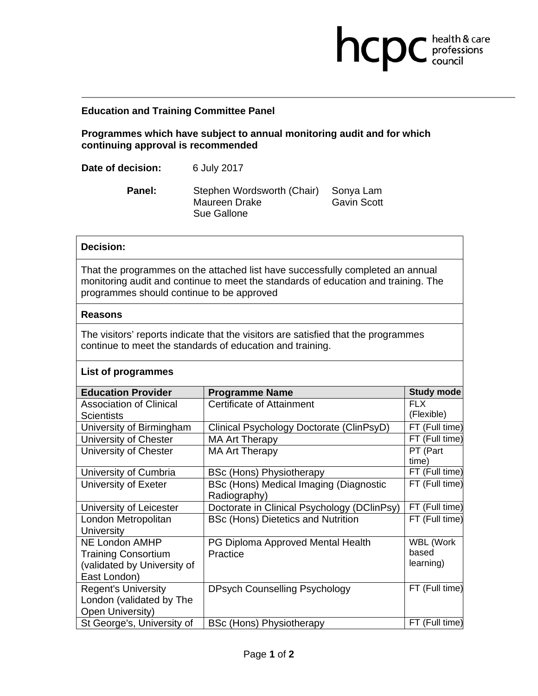## **Education and Training Committee Panel**

**Programmes which have subject to annual monitoring audit and for which continuing approval is recommended** 

**health & care** 

| Date of decision: | 6 July 2017 |
|-------------------|-------------|
|-------------------|-------------|

Panel: Stephen Wordsworth (Chair) Sonya Lam Maureen Drake Gavin Scott Sue Gallone

## **Decision:**

That the programmes on the attached list have successfully completed an annual monitoring audit and continue to meet the standards of education and training. The programmes should continue to be approved

#### **Reasons**

The visitors' reports indicate that the visitors are satisfied that the programmes continue to meet the standards of education and training.

### **List of programmes**

| <b>Education Provider</b>      | <b>Programme Name</b>                       | Study mode       |
|--------------------------------|---------------------------------------------|------------------|
| <b>Association of Clinical</b> | Certificate of Attainment                   | <b>FLX</b>       |
| <b>Scientists</b>              |                                             | (Flexible)       |
| University of Birmingham       | Clinical Psychology Doctorate (ClinPsyD)    | FT (Full time)   |
| University of Chester          | <b>MA Art Therapy</b>                       | FT (Full time)   |
| University of Chester          | <b>MA Art Therapy</b>                       | PT (Part         |
|                                |                                             | time)            |
| University of Cumbria          | <b>BSc (Hons) Physiotherapy</b>             | FT (Full time)   |
| University of Exeter           | BSc (Hons) Medical Imaging (Diagnostic      | FT (Full time)   |
|                                | Radiography)                                |                  |
| University of Leicester        | Doctorate in Clinical Psychology (DClinPsy) | FT (Full time)   |
| London Metropolitan            | <b>BSc (Hons) Dietetics and Nutrition</b>   | FT (Full time)   |
| <b>University</b>              |                                             |                  |
| <b>NE London AMHP</b>          | PG Diploma Approved Mental Health           | <b>WBL (Work</b> |
| <b>Training Consortium</b>     | Practice                                    | based            |
| (validated by University of    |                                             | learning)        |
| East London)                   |                                             |                  |
| <b>Regent's University</b>     | <b>DPsych Counselling Psychology</b>        | FT (Full time)   |
| London (validated by The       |                                             |                  |
| Open University)               |                                             |                  |
| St George's, University of     | <b>BSc (Hons) Physiotherapy</b>             | FT (Full time)   |